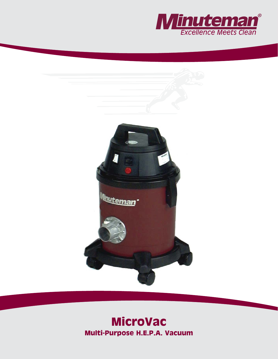



# **MicroVac Multi-Purpose H.E.P.A. Vacuum**